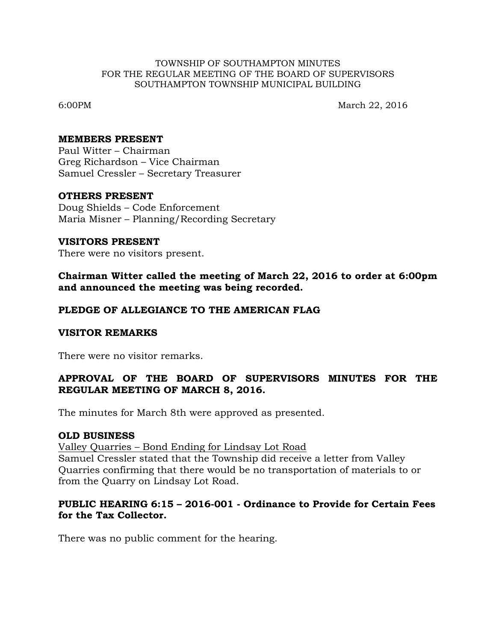#### TOWNSHIP OF SOUTHAMPTON MINUTES FOR THE REGULAR MEETING OF THE BOARD OF SUPERVISORS SOUTHAMPTON TOWNSHIP MUNICIPAL BUILDING

6:00PM March 22, 2016

#### **MEMBERS PRESENT**

Paul Witter – Chairman Greg Richardson – Vice Chairman Samuel Cressler – Secretary Treasurer

## **OTHERS PRESENT**

Doug Shields – Code Enforcement Maria Misner – Planning/Recording Secretary

### **VISITORS PRESENT**

There were no visitors present.

**Chairman Witter called the meeting of March 22, 2016 to order at 6:00pm and announced the meeting was being recorded.**

## **PLEDGE OF ALLEGIANCE TO THE AMERICAN FLAG**

#### **VISITOR REMARKS**

There were no visitor remarks.

# **APPROVAL OF THE BOARD OF SUPERVISORS MINUTES FOR THE REGULAR MEETING OF MARCH 8, 2016.**

The minutes for March 8th were approved as presented.

#### **OLD BUSINESS**

Valley Quarries – Bond Ending for Lindsay Lot Road Samuel Cressler stated that the Township did receive a letter from Valley Quarries confirming that there would be no transportation of materials to or from the Quarry on Lindsay Lot Road.

# **PUBLIC HEARING 6:15 – 2016-001 - Ordinance to Provide for Certain Fees for the Tax Collector.**

There was no public comment for the hearing.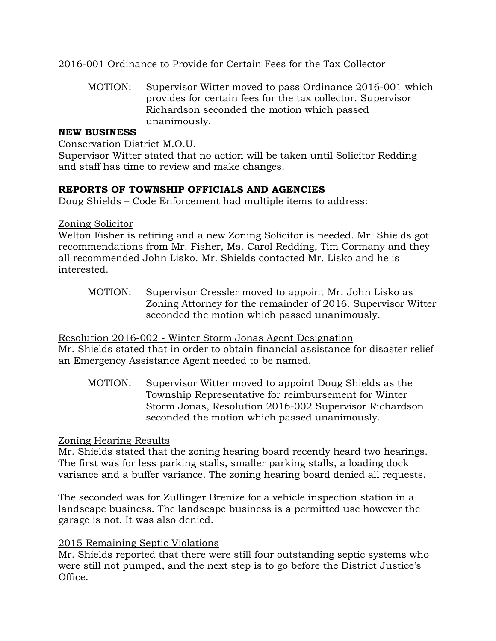# 2016-001 Ordinance to Provide for Certain Fees for the Tax Collector

MOTION: Supervisor Witter moved to pass Ordinance 2016-001 which provides for certain fees for the tax collector. Supervisor Richardson seconded the motion which passed unanimously.

## **NEW BUSINESS**

Conservation District M.O.U.

Supervisor Witter stated that no action will be taken until Solicitor Redding and staff has time to review and make changes.

## **REPORTS OF TOWNSHIP OFFICIALS AND AGENCIES**

Doug Shields – Code Enforcement had multiple items to address:

## Zoning Solicitor

Welton Fisher is retiring and a new Zoning Solicitor is needed. Mr. Shields got recommendations from Mr. Fisher, Ms. Carol Redding, Tim Cormany and they all recommended John Lisko. Mr. Shields contacted Mr. Lisko and he is interested.

MOTION: Supervisor Cressler moved to appoint Mr. John Lisko as Zoning Attorney for the remainder of 2016. Supervisor Witter seconded the motion which passed unanimously.

## Resolution 2016-002 - Winter Storm Jonas Agent Designation

Mr. Shields stated that in order to obtain financial assistance for disaster relief an Emergency Assistance Agent needed to be named.

MOTION: Supervisor Witter moved to appoint Doug Shields as the Township Representative for reimbursement for Winter Storm Jonas, Resolution 2016-002 Supervisor Richardson seconded the motion which passed unanimously.

# Zoning Hearing Results

Mr. Shields stated that the zoning hearing board recently heard two hearings. The first was for less parking stalls, smaller parking stalls, a loading dock variance and a buffer variance. The zoning hearing board denied all requests.

The seconded was for Zullinger Brenize for a vehicle inspection station in a landscape business. The landscape business is a permitted use however the garage is not. It was also denied.

## 2015 Remaining Septic Violations

Mr. Shields reported that there were still four outstanding septic systems who were still not pumped, and the next step is to go before the District Justice's Office.